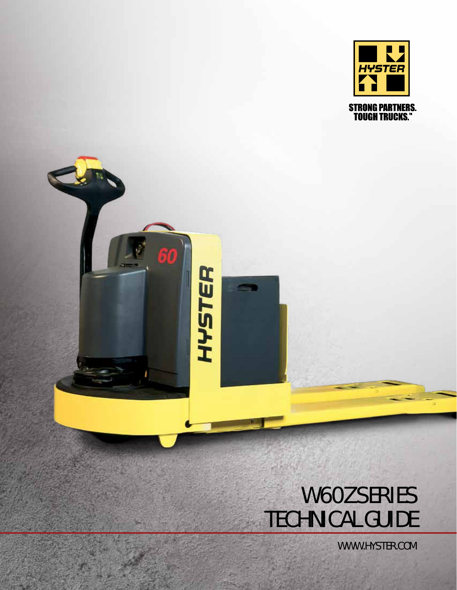

## W60Z SERIES TECHNICAL GUIDE

60

HYSTER

WWW.HYSTER.COM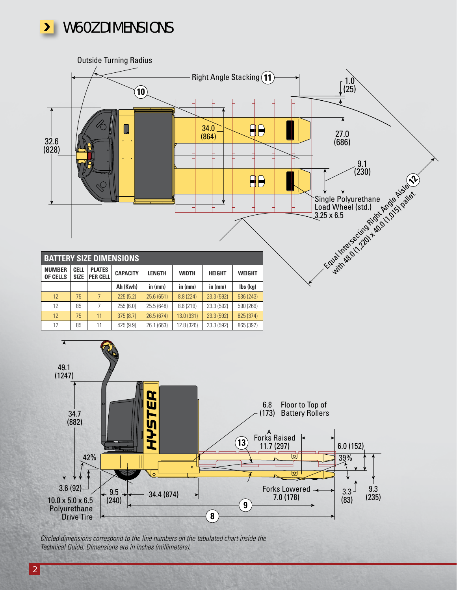



*Circled dimensions correspond to the line numbers on the tabulated chart inside the Technical Guide. Dimensions are in inches (millimeters).*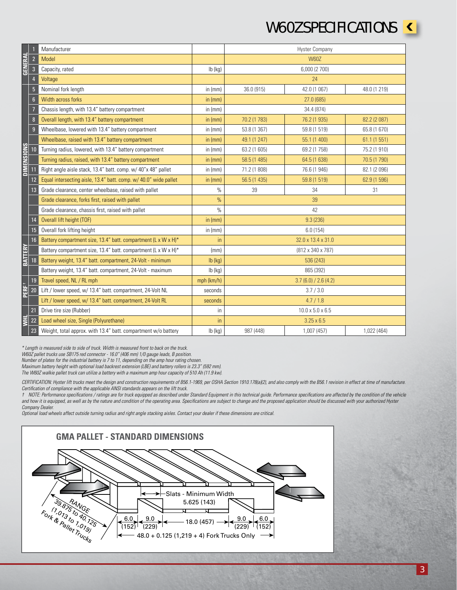## W60Z SPECIFICATIONS **<**

|                                                                                                                                                                                                                                                                                                                                                                                                                                                                                                                                                                                                                                                                                                                                                                                                                                                                                                                                                                                                                                                                                                                                                                                                                                                                                                                                                                                                                       |                  | Manufacturer                                                     |               | <b>Hyster Company</b>        |                               |              |  |
|-----------------------------------------------------------------------------------------------------------------------------------------------------------------------------------------------------------------------------------------------------------------------------------------------------------------------------------------------------------------------------------------------------------------------------------------------------------------------------------------------------------------------------------------------------------------------------------------------------------------------------------------------------------------------------------------------------------------------------------------------------------------------------------------------------------------------------------------------------------------------------------------------------------------------------------------------------------------------------------------------------------------------------------------------------------------------------------------------------------------------------------------------------------------------------------------------------------------------------------------------------------------------------------------------------------------------------------------------------------------------------------------------------------------------|------------------|------------------------------------------------------------------|---------------|------------------------------|-------------------------------|--------------|--|
| <b>GENERAL</b>                                                                                                                                                                                                                                                                                                                                                                                                                                                                                                                                                                                                                                                                                                                                                                                                                                                                                                                                                                                                                                                                                                                                                                                                                                                                                                                                                                                                        | $\overline{2}$   | <b>Model</b>                                                     |               | <b>W60Z</b>                  |                               |              |  |
|                                                                                                                                                                                                                                                                                                                                                                                                                                                                                                                                                                                                                                                                                                                                                                                                                                                                                                                                                                                                                                                                                                                                                                                                                                                                                                                                                                                                                       | $\overline{3}$   | Capacity, rated                                                  | lb (kg)       | 6,000 (2 700)                |                               |              |  |
|                                                                                                                                                                                                                                                                                                                                                                                                                                                                                                                                                                                                                                                                                                                                                                                                                                                                                                                                                                                                                                                                                                                                                                                                                                                                                                                                                                                                                       | $\overline{4}$   | Voltage                                                          |               | 24                           |                               |              |  |
| <b>DIMENSIONS</b>                                                                                                                                                                                                                                                                                                                                                                                                                                                                                                                                                                                                                                                                                                                                                                                                                                                                                                                                                                                                                                                                                                                                                                                                                                                                                                                                                                                                     | $\overline{5}$   | Nominal fork length                                              | in $(mm)$     | 36.0 (915)                   | 42.0 (1 067)                  | 48.0 (1 219) |  |
|                                                                                                                                                                                                                                                                                                                                                                                                                                                                                                                                                                                                                                                                                                                                                                                                                                                                                                                                                                                                                                                                                                                                                                                                                                                                                                                                                                                                                       | 6 <sup>1</sup>   | Width across forks                                               | in $(mm)$     | 27.0 (685)                   |                               |              |  |
|                                                                                                                                                                                                                                                                                                                                                                                                                                                                                                                                                                                                                                                                                                                                                                                                                                                                                                                                                                                                                                                                                                                                                                                                                                                                                                                                                                                                                       | $\overline{7}$   | Chassis length, with 13.4" battery compartment                   | in $(mm)$     | 34.4 (874)                   |                               |              |  |
|                                                                                                                                                                                                                                                                                                                                                                                                                                                                                                                                                                                                                                                                                                                                                                                                                                                                                                                                                                                                                                                                                                                                                                                                                                                                                                                                                                                                                       | $\boldsymbol{8}$ | Overall length, with 13.4" battery compartment                   | in $(mm)$     | 70.2 (1 783)                 | 76.2 (1 935)                  | 82.2 (2 087) |  |
|                                                                                                                                                                                                                                                                                                                                                                                                                                                                                                                                                                                                                                                                                                                                                                                                                                                                                                                                                                                                                                                                                                                                                                                                                                                                                                                                                                                                                       | 9                | Wheelbase, lowered with 13.4" battery compartment                | in $(mm)$     | 53.8 (1 367)                 | 59.8 (1 519)                  | 65.8 (1 670) |  |
|                                                                                                                                                                                                                                                                                                                                                                                                                                                                                                                                                                                                                                                                                                                                                                                                                                                                                                                                                                                                                                                                                                                                                                                                                                                                                                                                                                                                                       |                  | Wheelbase, raised with 13.4" battery compartment                 | in $(mm)$     | 49.1 (1 247)                 | 55.1 (1 400)                  | 61.1 (1 551) |  |
|                                                                                                                                                                                                                                                                                                                                                                                                                                                                                                                                                                                                                                                                                                                                                                                                                                                                                                                                                                                                                                                                                                                                                                                                                                                                                                                                                                                                                       | 10               | Turning radius, lowered, with 13.4" battery compartment          | in $(mm)$     | 63.2 (1 605)                 | 69.2 (1 758)                  | 75.2 (1 910) |  |
|                                                                                                                                                                                                                                                                                                                                                                                                                                                                                                                                                                                                                                                                                                                                                                                                                                                                                                                                                                                                                                                                                                                                                                                                                                                                                                                                                                                                                       |                  | Turning radius, raised, with 13.4" battery compartment           | in (mm)       | 58.5 (1 485)                 | 64.5 (1 638)                  | 70.5 (1 790) |  |
|                                                                                                                                                                                                                                                                                                                                                                                                                                                                                                                                                                                                                                                                                                                                                                                                                                                                                                                                                                                                                                                                                                                                                                                                                                                                                                                                                                                                                       | 11               | Right angle aisle stack, 13.4" batt. comp. w/ 40"x 48" pallet    | in $(mm)$     | 71.2 (1 808)                 | 76.6 (1 946)                  | 82.1 (2 096) |  |
|                                                                                                                                                                                                                                                                                                                                                                                                                                                                                                                                                                                                                                                                                                                                                                                                                                                                                                                                                                                                                                                                                                                                                                                                                                                                                                                                                                                                                       | 12               | Equal intersecting aisle, 13.4" batt. comp. w/ 40.0" wide pallet | in $(mm)$     | 56.5 (1 435)                 | 59.8 (1 519)                  | 62.9 (1 596) |  |
|                                                                                                                                                                                                                                                                                                                                                                                                                                                                                                                                                                                                                                                                                                                                                                                                                                                                                                                                                                                                                                                                                                                                                                                                                                                                                                                                                                                                                       | 13               | Grade clearance, center wheelbase, raised with pallet            | $\%$          | 39                           | 34                            | 31           |  |
|                                                                                                                                                                                                                                                                                                                                                                                                                                                                                                                                                                                                                                                                                                                                                                                                                                                                                                                                                                                                                                                                                                                                                                                                                                                                                                                                                                                                                       |                  | Grade clearance, forks first, raised with pallet                 | $\%$          | 39                           |                               |              |  |
|                                                                                                                                                                                                                                                                                                                                                                                                                                                                                                                                                                                                                                                                                                                                                                                                                                                                                                                                                                                                                                                                                                                                                                                                                                                                                                                                                                                                                       |                  | Grade clearance, chassis first, raised with pallet               | $\frac{0}{0}$ | 42                           |                               |              |  |
|                                                                                                                                                                                                                                                                                                                                                                                                                                                                                                                                                                                                                                                                                                                                                                                                                                                                                                                                                                                                                                                                                                                                                                                                                                                                                                                                                                                                                       | 14               | Overall lift height (TOF)                                        | in $(mm)$     | 9.3(236)                     |                               |              |  |
|                                                                                                                                                                                                                                                                                                                                                                                                                                                                                                                                                                                                                                                                                                                                                                                                                                                                                                                                                                                                                                                                                                                                                                                                                                                                                                                                                                                                                       | 15               | Overall fork lifting height                                      | in $(mm)$     | 6.0(154)                     |                               |              |  |
| <b>BATTERY</b><br>PERF <sup>+</sup>                                                                                                                                                                                                                                                                                                                                                                                                                                                                                                                                                                                                                                                                                                                                                                                                                                                                                                                                                                                                                                                                                                                                                                                                                                                                                                                                                                                   | 16               | Battery compartment size, 13.4" batt. compartment (L x W x H)*   | in            | 32.0 x 13.4 x 31.0           |                               |              |  |
|                                                                                                                                                                                                                                                                                                                                                                                                                                                                                                                                                                                                                                                                                                                                                                                                                                                                                                                                                                                                                                                                                                                                                                                                                                                                                                                                                                                                                       |                  | Battery compartment size, 13.4" batt. compartment (L x W x H)*   | (mm)          |                              | $(812 \times 340 \times 787)$ |              |  |
|                                                                                                                                                                                                                                                                                                                                                                                                                                                                                                                                                                                                                                                                                                                                                                                                                                                                                                                                                                                                                                                                                                                                                                                                                                                                                                                                                                                                                       | 18               | Battery weight, 13.4" batt. compartment, 24-Volt - minimum       | $lb$ (kg)     | 536 (243)                    |                               |              |  |
|                                                                                                                                                                                                                                                                                                                                                                                                                                                                                                                                                                                                                                                                                                                                                                                                                                                                                                                                                                                                                                                                                                                                                                                                                                                                                                                                                                                                                       |                  | Battery weight, 13.4" batt. compartment, 24-Volt - maximum       | $lb$ (kg)     | 865 (392)                    |                               |              |  |
|                                                                                                                                                                                                                                                                                                                                                                                                                                                                                                                                                                                                                                                                                                                                                                                                                                                                                                                                                                                                                                                                                                                                                                                                                                                                                                                                                                                                                       | 19               | Travel speed, NL / RL mph                                        | mph (km/h)    | 3.7(6.0) / 2.6(4.2)          |                               |              |  |
|                                                                                                                                                                                                                                                                                                                                                                                                                                                                                                                                                                                                                                                                                                                                                                                                                                                                                                                                                                                                                                                                                                                                                                                                                                                                                                                                                                                                                       | 20               | Lift / lower speed, w/ 13.4" batt. compartment, 24-Volt NL       | seconds       | 3.7 / 3.0                    |                               |              |  |
|                                                                                                                                                                                                                                                                                                                                                                                                                                                                                                                                                                                                                                                                                                                                                                                                                                                                                                                                                                                                                                                                                                                                                                                                                                                                                                                                                                                                                       |                  | Lift / lower speed, w/ 13.4" batt. compartment, 24-Volt RL       | seconds       | 4.7/1.8                      |                               |              |  |
| E                                                                                                                                                                                                                                                                                                                                                                                                                                                                                                                                                                                                                                                                                                                                                                                                                                                                                                                                                                                                                                                                                                                                                                                                                                                                                                                                                                                                                     | 21               | Drive tire size (Rubber)                                         | in            | $10.0 \times 5.0 \times 6.5$ |                               |              |  |
|                                                                                                                                                                                                                                                                                                                                                                                                                                                                                                                                                                                                                                                                                                                                                                                                                                                                                                                                                                                                                                                                                                                                                                                                                                                                                                                                                                                                                       | 22               | Load wheel size, Single (Polyurethane)                           | in            | $3.25 \times 6.5$            |                               |              |  |
|                                                                                                                                                                                                                                                                                                                                                                                                                                                                                                                                                                                                                                                                                                                                                                                                                                                                                                                                                                                                                                                                                                                                                                                                                                                                                                                                                                                                                       | 23               | Weight, total approx. with 13.4" batt. compartment w/o battery   | $lb$ (kg)     | 987 (448)                    | 1,007 (457)                   | 1,022 (464)  |  |
| * Length is measured side to side of truck. Width is measured front to back on the truck.<br>W60Z pallet trucks use SB175 red connector - 16.0" (406 mm) 1/0 gauge leads, B position.<br>Number of plates for the industrial battery is 7 to 11, depending on the amp hour rating chosen.<br>Maximum battery height with optional load backrest extension (LBE) and battery rollers is 23.3" (592 mm).<br>The W60Z walkie pallet truck can utilize a battery with a maximum amp hour capacity of 510 Ah (11.9 kw).<br>CERTIFICATION: Hyster lift trucks meet the design and construction requirements of B56.1-1969, per OSHA Section 1910.178(a)(2), and also comply with the B56.1 revision in effect at time of manufacture.<br>Certification of compliance with the applicable ANSI standards appears on the lift truck.<br>t NOTE: Performance specifications / ratings are for truck equipped as described under Standard Equipment in this technical guide. Performance specifications are affected by the condition of the vehicle<br>and how it is equipped, as well as by the nature and condition of the operating area. Specifications are subject to change and the proposed application should be discussed with your authorized Hyster<br>Company Dealer.<br>Optional load wheels affect outside turning radius and right angle stacking aisles. Contact your dealer if these dimensions are critical. |                  |                                                                  |               |                              |                               |              |  |